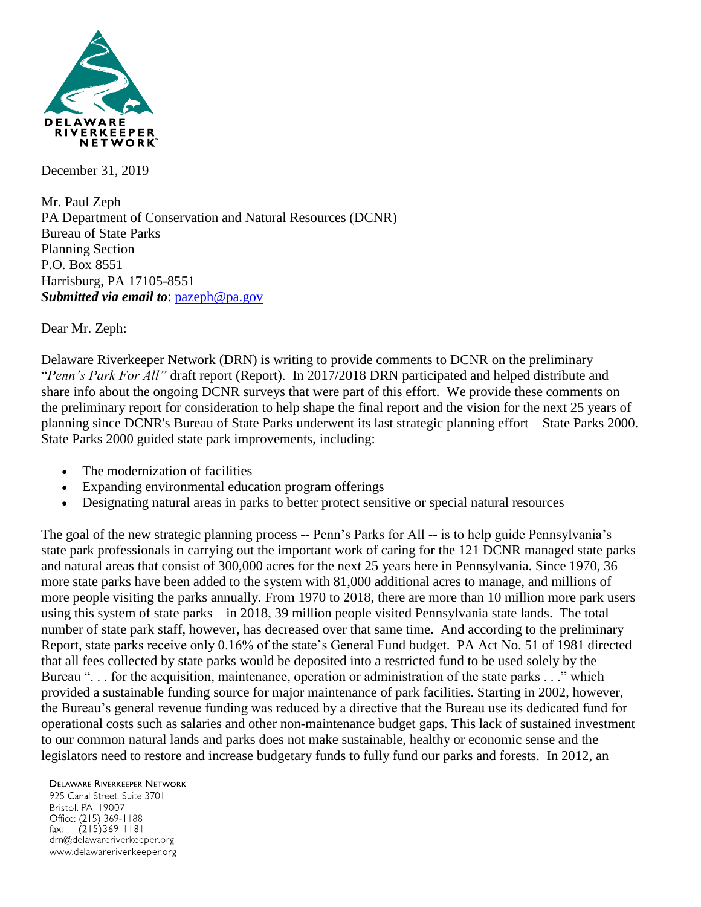

December 31, 2019

Mr. Paul Zeph PA Department of Conservation and Natural Resources (DCNR) Bureau of State Parks Planning Section P.O. Box 8551 Harrisburg, PA 17105-8551 *Submitted via email to*: [pazeph@pa.gov](mailto:pazeph@pa.gov)

Dear Mr. Zeph:

Delaware Riverkeeper Network (DRN) is writing to provide comments to DCNR on the preliminary "*Penn's Park For All"* draft report (Report). In 2017/2018 DRN participated and helped distribute and share info about the ongoing DCNR surveys that were part of this effort. We provide these comments on the preliminary report for consideration to help shape the final report and the vision for the next 25 years of planning since DCNR's Bureau of State Parks underwent its last strategic planning effort – State Parks 2000. State Parks 2000 guided state park improvements, including:

- The modernization of facilities
- Expanding environmental education program offerings
- Designating natural areas in parks to better protect sensitive or special natural resources

The goal of the new strategic planning process -- Penn's Parks for All -- is to help guide Pennsylvania's state park professionals in carrying out the important work of caring for the 121 DCNR managed state parks and natural areas that consist of 300,000 acres for the next 25 years here in Pennsylvania. Since 1970, 36 more state parks have been added to the system with 81,000 additional acres to manage, and millions of more people visiting the parks annually. From 1970 to 2018, there are more than 10 million more park users using this system of state parks – in 2018, 39 million people visited Pennsylvania state lands. The total number of state park staff, however, has decreased over that same time. And according to the preliminary Report, state parks receive only 0.16% of the state's General Fund budget.PA Act No. 51 of 1981 directed that all fees collected by state parks would be deposited into a restricted fund to be used solely by the Bureau ". . . for the acquisition, maintenance, operation or administration of the state parks . . ." which provided a sustainable funding source for major maintenance of park facilities. Starting in 2002, however, the Bureau's general revenue funding was reduced by a directive that the Bureau use its dedicated fund for operational costs such as salaries and other non-maintenance budget gaps. This lack of sustained investment to our common natural lands and parks does not make sustainable, healthy or economic sense and the legislators need to restore and increase budgetary funds to fully fund our parks and forests. In 2012, an

**DELAWARE RIVERKEEPER NETWORK** 925 Canal Street, Suite 3701 Bristol, PA 19007

Office: (215) 369-1188 fax:  $(215)369 - 1181$ drn@delawareriverkeeper.org www.delawareriverkeeper.org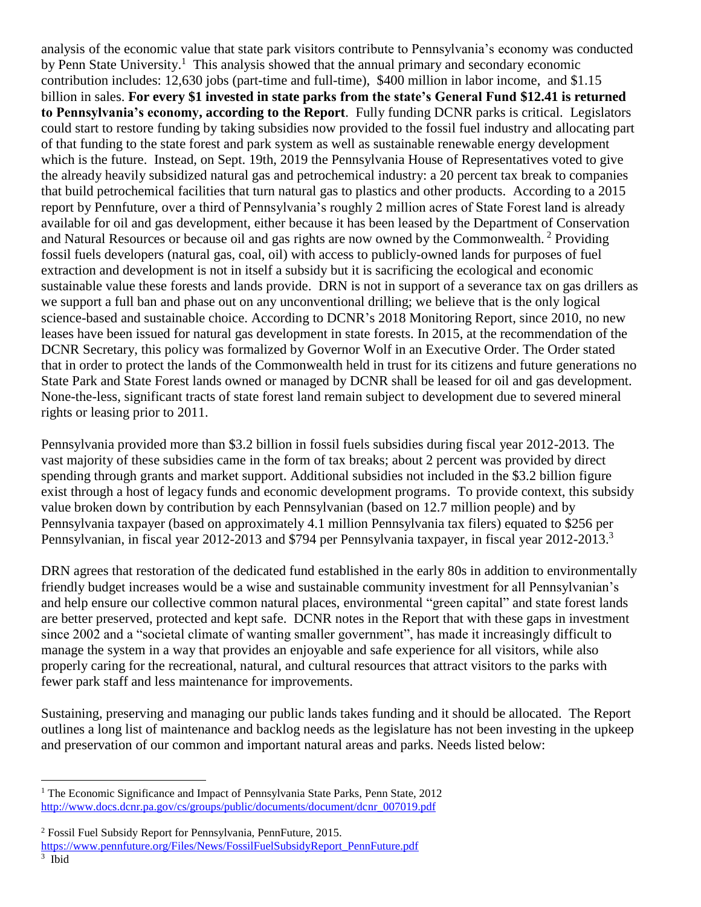analysis of the economic value that state park visitors contribute to Pennsylvania's economy was conducted by Penn State University.<sup>1</sup> This analysis showed that the annual primary and secondary economic contribution includes: 12,630 jobs (part-time and full-time), \$400 million in labor income, and \$1.15 billion in sales. **For every \$1 invested in state parks from the state's General Fund \$12.41 is returned to Pennsylvania's economy, according to the Report**. Fully funding DCNR parks is critical. Legislators could start to restore funding by taking subsidies now provided to the fossil fuel industry and allocating part of that funding to the state forest and park system as well as sustainable renewable energy development which is the future. Instead, on Sept. 19th, 2019 the Pennsylvania House of Representatives voted to give the already heavily subsidized natural gas and petrochemical industry: a 20 percent tax break to companies that build petrochemical facilities that turn natural gas to plastics and other products. According to a 2015 report by Pennfuture, over a third of Pennsylvania's roughly 2 million acres of State Forest land is already available for oil and gas development, either because it has been leased by the Department of Conservation and Natural Resources or because oil and gas rights are now owned by the Commonwealth. <sup>2</sup> Providing fossil fuels developers (natural gas, coal, oil) with access to publicly-owned lands for purposes of fuel extraction and development is not in itself a subsidy but it is sacrificing the ecological and economic sustainable value these forests and lands provide. DRN is not in support of a severance tax on gas drillers as we support a full ban and phase out on any unconventional drilling; we believe that is the only logical science-based and sustainable choice. According to DCNR's 2018 Monitoring Report, since 2010, no new leases have been issued for natural gas development in state forests. In 2015, at the recommendation of the DCNR Secretary, this policy was formalized by Governor Wolf in an Executive Order. The Order stated that in order to protect the lands of the Commonwealth held in trust for its citizens and future generations no State Park and State Forest lands owned or managed by DCNR shall be leased for oil and gas development. None-the-less, significant tracts of state forest land remain subject to development due to severed mineral rights or leasing prior to 2011.

Pennsylvania provided more than \$3.2 billion in fossil fuels subsidies during fiscal year 2012-2013. The vast majority of these subsidies came in the form of tax breaks; about 2 percent was provided by direct spending through grants and market support. Additional subsidies not included in the \$3.2 billion figure exist through a host of legacy funds and economic development programs. To provide context, this subsidy value broken down by contribution by each Pennsylvanian (based on 12.7 million people) and by Pennsylvania taxpayer (based on approximately 4.1 million Pennsylvania tax filers) equated to \$256 per Pennsylvanian, in fiscal year 2012-2013 and \$794 per Pennsylvania taxpayer, in fiscal year 2012-2013.<sup>3</sup>

DRN agrees that restoration of the dedicated fund established in the early 80s in addition to environmentally friendly budget increases would be a wise and sustainable community investment for all Pennsylvanian's and help ensure our collective common natural places, environmental "green capital" and state forest lands are better preserved, protected and kept safe. DCNR notes in the Report that with these gaps in investment since 2002 and a "societal climate of wanting smaller government", has made it increasingly difficult to manage the system in a way that provides an enjoyable and safe experience for all visitors, while also properly caring for the recreational, natural, and cultural resources that attract visitors to the parks with fewer park staff and less maintenance for improvements.

Sustaining, preserving and managing our public lands takes funding and it should be allocated. The Report outlines a long list of maintenance and backlog needs as the legislature has not been investing in the upkeep and preservation of our common and important natural areas and parks. Needs listed below:

 $\overline{a}$ 

<sup>&</sup>lt;sup>1</sup> The Economic Significance and Impact of Pennsylvania State Parks, Penn State, 2012 [http://www.docs.dcnr.pa.gov/cs/groups/public/documents/document/dcnr\\_007019.pdf](http://www.docs.dcnr.pa.gov/cs/groups/public/documents/document/dcnr_007019.pdf)

<sup>2</sup> Fossil Fuel Subsidy Report for Pennsylvania, PennFuture, 2015.

[https://www.pennfuture.org/Files/News/FossilFuelSubsidyReport\\_PennFuture.pdf](https://www.pennfuture.org/Files/News/FossilFuelSubsidyReport_PennFuture.pdf)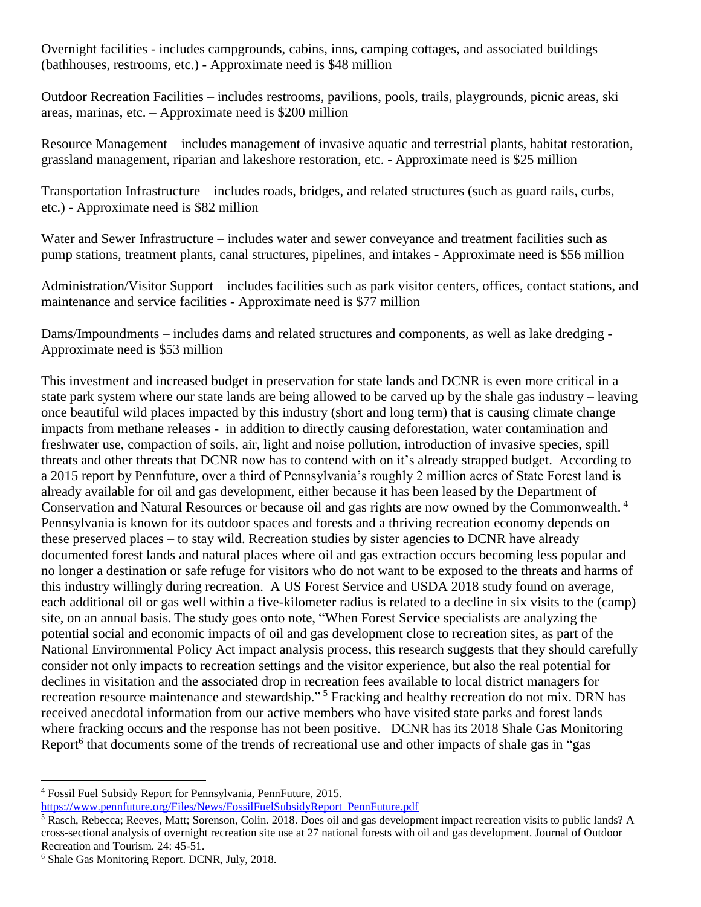Overnight facilities - includes campgrounds, cabins, inns, camping cottages, and associated buildings (bathhouses, restrooms, etc.) - Approximate need is \$48 million

Outdoor Recreation Facilities – includes restrooms, pavilions, pools, trails, playgrounds, picnic areas, ski areas, marinas, etc. – Approximate need is \$200 million

Resource Management – includes management of invasive aquatic and terrestrial plants, habitat restoration, grassland management, riparian and lakeshore restoration, etc. - Approximate need is \$25 million

Transportation Infrastructure – includes roads, bridges, and related structures (such as guard rails, curbs, etc.) - Approximate need is \$82 million

Water and Sewer Infrastructure – includes water and sewer conveyance and treatment facilities such as pump stations, treatment plants, canal structures, pipelines, and intakes - Approximate need is \$56 million

Administration/Visitor Support – includes facilities such as park visitor centers, offices, contact stations, and maintenance and service facilities - Approximate need is \$77 million

Dams/Impoundments – includes dams and related structures and components, as well as lake dredging - Approximate need is \$53 million

This investment and increased budget in preservation for state lands and DCNR is even more critical in a state park system where our state lands are being allowed to be carved up by the shale gas industry – leaving once beautiful wild places impacted by this industry (short and long term) that is causing climate change impacts from methane releases - in addition to directly causing deforestation, water contamination and freshwater use, compaction of soils, air, light and noise pollution, introduction of invasive species, spill threats and other threats that DCNR now has to contend with on it's already strapped budget. According to a 2015 report by Pennfuture, over a third of Pennsylvania's roughly 2 million acres of State Forest land is already available for oil and gas development, either because it has been leased by the Department of Conservation and Natural Resources or because oil and gas rights are now owned by the Commonwealth. <sup>4</sup> Pennsylvania is known for its outdoor spaces and forests and a thriving recreation economy depends on these preserved places – to stay wild. Recreation studies by sister agencies to DCNR have already documented forest lands and natural places where oil and gas extraction occurs becoming less popular and no longer a destination or safe refuge for visitors who do not want to be exposed to the threats and harms of this industry willingly during recreation. A US Forest Service and USDA 2018 study found on average, each additional oil or gas well within a five-kilometer radius is related to a decline in six visits to the (camp) site, on an annual basis. The study goes onto note, "When Forest Service specialists are analyzing the potential social and economic impacts of oil and gas development close to recreation sites, as part of the National Environmental Policy Act impact analysis process, this research suggests that they should carefully consider not only impacts to recreation settings and the visitor experience, but also the real potential for declines in visitation and the associated drop in recreation fees available to local district managers for recreation resource maintenance and stewardship."<sup>5</sup> Fracking and healthy recreation do not mix. DRN has received anecdotal information from our active members who have visited state parks and forest lands where fracking occurs and the response has not been positive. DCNR has its 2018 Shale Gas Monitoring Report<sup>6</sup> that documents some of the trends of recreational use and other impacts of shale gas in "gas

 $\overline{a}$ <sup>4</sup> Fossil Fuel Subsidy Report for Pennsylvania, PennFuture, 2015. [https://www.pennfuture.org/Files/News/FossilFuelSubsidyReport\\_PennFuture.pdf](https://www.pennfuture.org/Files/News/FossilFuelSubsidyReport_PennFuture.pdf)

<sup>5</sup> Rasch, Rebecca; Reeves, Matt; Sorenson, Colin. 2018. Does oil and gas development impact recreation visits to public lands? A cross-sectional analysis of overnight recreation site use at 27 national forests with oil and gas development. Journal of Outdoor Recreation and Tourism. 24: 45-51.

<sup>6</sup> Shale Gas Monitoring Report. DCNR, July, 2018.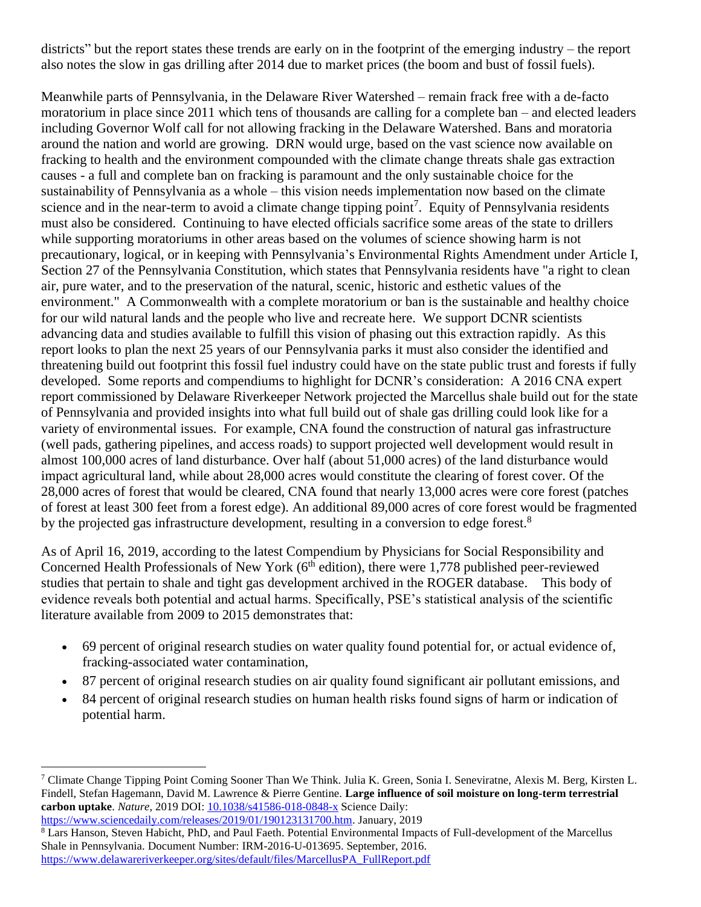districts" but the report states these trends are early on in the footprint of the emerging industry – the report also notes the slow in gas drilling after 2014 due to market prices (the boom and bust of fossil fuels).

Meanwhile parts of Pennsylvania, in the Delaware River Watershed – remain frack free with a de-facto moratorium in place since 2011 which tens of thousands are calling for a complete ban – and elected leaders including Governor Wolf call for not allowing fracking in the Delaware Watershed. Bans and moratoria around the nation and world are growing. DRN would urge, based on the vast science now available on fracking to health and the environment compounded with the climate change threats shale gas extraction causes - a full and complete ban on fracking is paramount and the only sustainable choice for the sustainability of Pennsylvania as a whole – this vision needs implementation now based on the climate science and in the near-term to avoid a climate change tipping point<sup>7</sup>. Equity of Pennsylvania residents must also be considered. Continuing to have elected officials sacrifice some areas of the state to drillers while supporting moratoriums in other areas based on the volumes of science showing harm is not precautionary, logical, or in keeping with Pennsylvania's Environmental Rights Amendment under Article I, Section 27 of the Pennsylvania Constitution, which states that Pennsylvania residents have "a right to clean air, pure water, and to the preservation of the natural, scenic, historic and esthetic values of the environment." A Commonwealth with a complete moratorium or ban is the sustainable and healthy choice for our wild natural lands and the people who live and recreate here. We support DCNR scientists advancing data and studies available to fulfill this vision of phasing out this extraction rapidly. As this report looks to plan the next 25 years of our Pennsylvania parks it must also consider the identified and threatening build out footprint this fossil fuel industry could have on the state public trust and forests if fully developed. Some reports and compendiums to highlight for DCNR's consideration: A 2016 CNA expert report commissioned by Delaware Riverkeeper Network projected the Marcellus shale build out for the state of Pennsylvania and provided insights into what full build out of shale gas drilling could look like for a variety of environmental issues. For example, CNA found the construction of natural gas infrastructure (well pads, gathering pipelines, and access roads) to support projected well development would result in almost 100,000 acres of land disturbance. Over half (about 51,000 acres) of the land disturbance would impact agricultural land, while about 28,000 acres would constitute the clearing of forest cover. Of the 28,000 acres of forest that would be cleared, CNA found that nearly 13,000 acres were core forest (patches of forest at least 300 feet from a forest edge). An additional 89,000 acres of core forest would be fragmented by the projected gas infrastructure development, resulting in a conversion to edge forest.<sup>8</sup>

As of April 16, 2019, according to the latest Compendium by Physicians for Social Responsibility and Concerned Health Professionals of New York (6<sup>th</sup> edition), there were 1,778 published peer-reviewed studies that pertain to shale and tight gas development archived in the ROGER database. This body of evidence reveals both potential and actual harms. Specifically, PSE's statistical analysis of the scientific literature available from 2009 to 2015 demonstrates that:

- 69 percent of original research studies on water quality found potential for, or actual evidence of, fracking-associated water contamination,
- 87 percent of original research studies on air quality found significant air pollutant emissions, and
- 84 percent of original research studies on human health risks found signs of harm or indication of potential harm.

[https://www.sciencedaily.com/releases/2019/01/190123131700.htm.](https://www.sciencedaily.com/releases/2019/01/190123131700.htm) January, 2019

 $\overline{a}$ 

<sup>8</sup> Lars Hanson, Steven Habicht, PhD, and Paul Faeth. Potential Environmental Impacts of Full-development of the Marcellus Shale in Pennsylvania. Document Number: IRM-2016-U-013695. September, 2016. [https://www.delawareriverkeeper.org/sites/default/files/MarcellusPA\\_FullReport.pdf](https://www.delawareriverkeeper.org/sites/default/files/MarcellusPA_FullReport.pdf)

<sup>&</sup>lt;sup>7</sup> Climate Change Tipping Point Coming Sooner Than We Think. Julia K. Green, Sonia I. Seneviratne, Alexis M. Berg, Kirsten L. Findell, Stefan Hagemann, David M. Lawrence & Pierre Gentine. **Large influence of soil moisture on long-term terrestrial carbon uptake**. *Nature*, 2019 DOI: [10.1038/s41586-018-0848-x](http://dx.doi.org/10.1038/s41586-018-0848-x) Science Daily: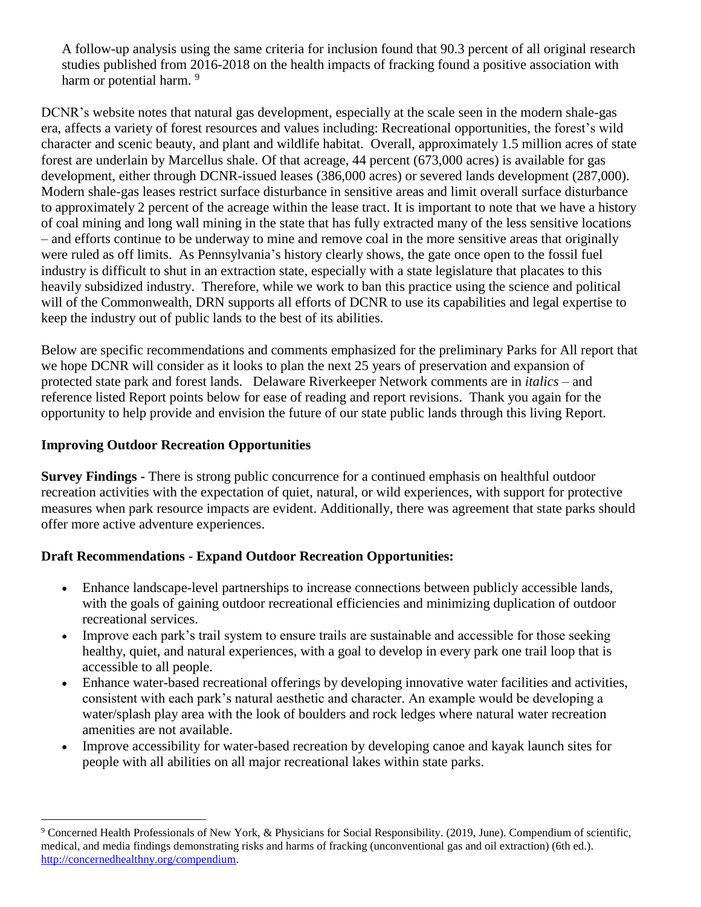A follow-up analysis using the same criteria for inclusion found that 90.3 percent of all original research studies published from 2016-2018 on the health impacts of fracking found a positive association with harm or potential harm.<sup>9</sup>

DCNR's website notes that natural gas development, especially at the scale seen in the modern shale-gas era, affects a variety of forest resources and values including: Recreational opportunities, the forest's wild character and scenic beauty, and plant and wildlife habitat. Overall, approximately 1.5 million acres of state forest are underlain by Marcellus shale. Of that acreage, 44 percent (673,000 acres) is available for gas development, either through DCNR-issued leases (386,000 acres) or severed lands development (287,000). Modern shale-gas leases restrict surface disturbance in sensitive areas and limit overall surface disturbance to approximately 2 percent of the acreage within the lease tract. It is important to note that we have a history of coal mining and long wall mining in the state that has fully extracted many of the less sensitive locations – and efforts continue to be underway to mine and remove coal in the more sensitive areas that originally were ruled as off limits. As Pennsylvania's history clearly shows, the gate once open to the fossil fuel industry is difficult to shut in an extraction state, especially with a state legislature that placates to this heavily subsidized industry. Therefore, while we work to ban this practice using the science and political will of the Commonwealth, DRN supports all efforts of DCNR to use its capabilities and legal expertise to keep the industry out of public lands to the best of its abilities.

Below are specific recommendations and comments emphasized for the preliminary Parks for All report that we hope DCNR will consider as it looks to plan the next 25 years of preservation and expansion of protected state park and forest lands. Delaware Riverkeeper Network comments are in *italics* – and reference listed Report points below for ease of reading and report revisions. Thank you again for the opportunity to help provide and envision the future of our state public lands through this living Report.

#### **Improving Outdoor Recreation Opportunities**

 $\overline{a}$ 

**Survey Findings -** There is strong public concurrence for a continued emphasis on healthful outdoor recreation activities with the expectation of quiet, natural, or wild experiences, with support for protective measures when park resource impacts are evident. Additionally, there was agreement that state parks should offer more active adventure experiences.

#### **Draft Recommendations - Expand Outdoor Recreation Opportunities:**

- Enhance landscape-level partnerships to increase connections between publicly accessible lands, with the goals of gaining outdoor recreational efficiencies and minimizing duplication of outdoor recreational services.
- Improve each park's trail system to ensure trails are sustainable and accessible for those seeking healthy, quiet, and natural experiences, with a goal to develop in every park one trail loop that is accessible to all people.
- Enhance water-based recreational offerings by developing innovative water facilities and activities, consistent with each park's natural aesthetic and character. An example would be developing a water/splash play area with the look of boulders and rock ledges where natural water recreation amenities are not available.
- Improve accessibility for water-based recreation by developing canoe and kayak launch sites for people with all abilities on all major recreational lakes within state parks.

<sup>9</sup> Concerned Health Professionals of New York, & Physicians for Social Responsibility. (2019, June). Compendium of scientific, medical, and media findings demonstrating risks and harms of fracking (unconventional gas and oil extraction) (6th ed.). [http://concernedhealthny.org/compendium.](http://concernedhealthny.org/compendium)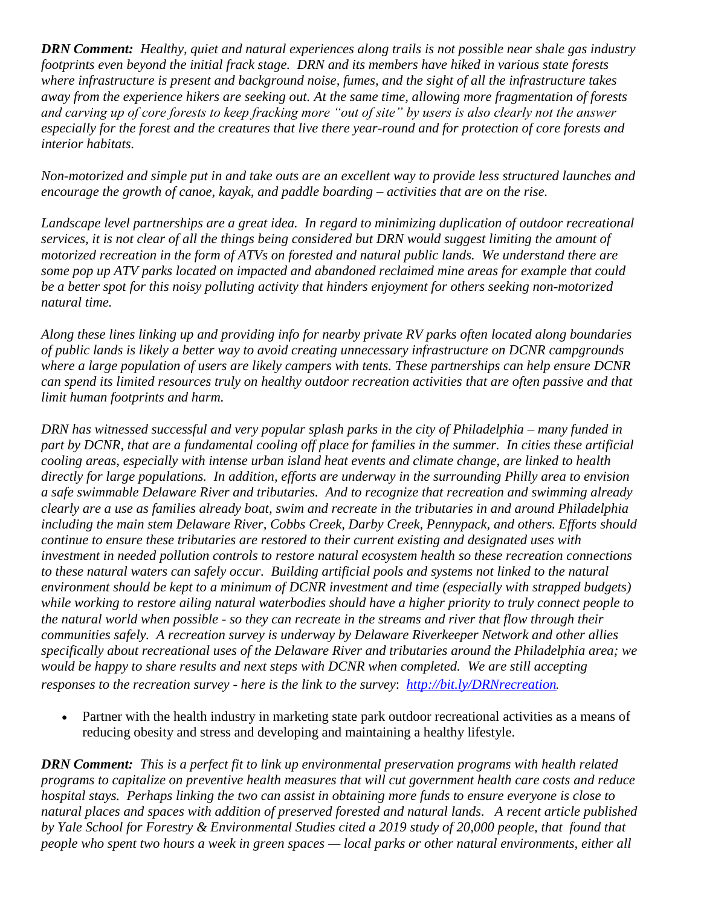*DRN Comment: Healthy, quiet and natural experiences along trails is not possible near shale gas industry footprints even beyond the initial frack stage. DRN and its members have hiked in various state forests where infrastructure is present and background noise, fumes, and the sight of all the infrastructure takes away from the experience hikers are seeking out. At the same time, allowing more fragmentation of forests and carving up of core forests to keep fracking more "out of site" by users is also clearly not the answer especially for the forest and the creatures that live there year-round and for protection of core forests and interior habitats.* 

*Non-motorized and simple put in and take outs are an excellent way to provide less structured launches and encourage the growth of canoe, kayak, and paddle boarding – activities that are on the rise.* 

*Landscape level partnerships are a great idea. In regard to minimizing duplication of outdoor recreational services, it is not clear of all the things being considered but DRN would suggest limiting the amount of motorized recreation in the form of ATVs on forested and natural public lands. We understand there are some pop up ATV parks located on impacted and abandoned reclaimed mine areas for example that could be a better spot for this noisy polluting activity that hinders enjoyment for others seeking non-motorized natural time.* 

*Along these lines linking up and providing info for nearby private RV parks often located along boundaries of public lands is likely a better way to avoid creating unnecessary infrastructure on DCNR campgrounds where a large population of users are likely campers with tents. These partnerships can help ensure DCNR can spend its limited resources truly on healthy outdoor recreation activities that are often passive and that limit human footprints and harm.* 

*DRN has witnessed successful and very popular splash parks in the city of Philadelphia – many funded in part by DCNR, that are a fundamental cooling off place for families in the summer. In cities these artificial cooling areas, especially with intense urban island heat events and climate change, are linked to health directly for large populations. In addition, efforts are underway in the surrounding Philly area to envision a safe swimmable Delaware River and tributaries. And to recognize that recreation and swimming already clearly are a use as families already boat, swim and recreate in the tributaries in and around Philadelphia including the main stem Delaware River, Cobbs Creek, Darby Creek, Pennypack, and others. Efforts should continue to ensure these tributaries are restored to their current existing and designated uses with investment in needed pollution controls to restore natural ecosystem health so these recreation connections to these natural waters can safely occur. Building artificial pools and systems not linked to the natural environment should be kept to a minimum of DCNR investment and time (especially with strapped budgets) while working to restore ailing natural waterbodies should have a higher priority to truly connect people to the natural world when possible - so they can recreate in the streams and river that flow through their communities safely. A recreation survey is underway by Delaware Riverkeeper Network and other allies specifically about recreational uses of the Delaware River and tributaries around the Philadelphia area; we would be happy to share results and next steps with DCNR when completed. We are still accepting responses to the recreation survey - here is the link to the survey*: *<http://bit.ly/DRNrecreation>.*

 Partner with the health industry in marketing state park outdoor recreational activities as a means of reducing obesity and stress and developing and maintaining a healthy lifestyle.

*DRN Comment: This is a perfect fit to link up environmental preservation programs with health related programs to capitalize on preventive health measures that will cut government health care costs and reduce hospital stays. Perhaps linking the two can assist in obtaining more funds to ensure everyone is close to natural places and spaces with addition of preserved forested and natural lands. A recent article published by Yale School for Forestry & Environmental Studies cited a 2019 study of 20,000 people, that found that people who spent two hours a week in green spaces — local parks or other natural environments, either all*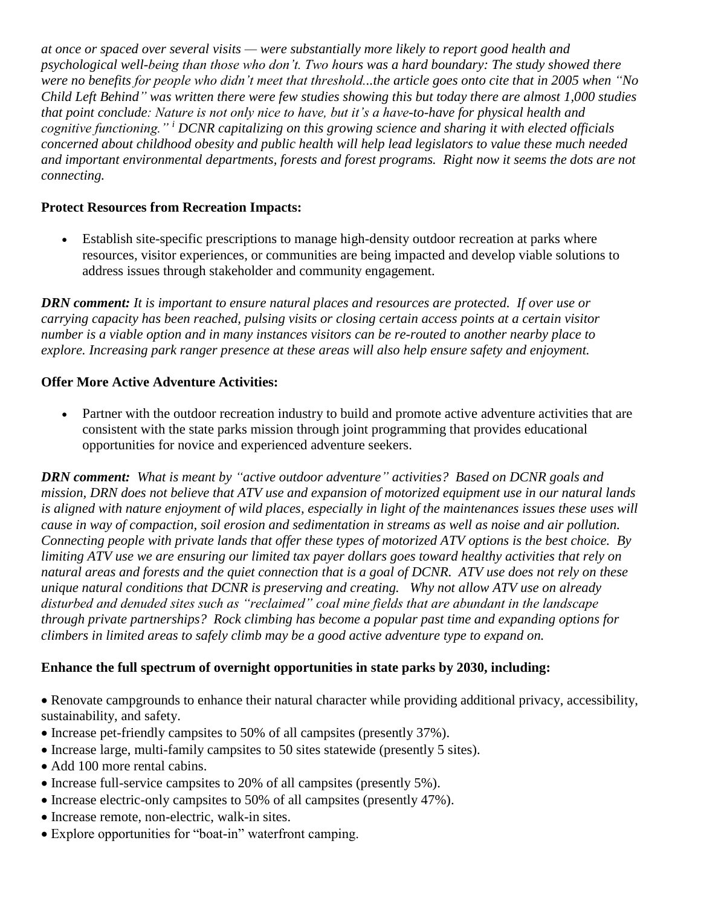*at once or spaced over several visits — were substantially more likely to report good health and psychological well-being than those who don't. Two hours was a hard boundary: The study showed there were no benefits for people who didn't meet that threshold...the article goes onto cite that in 2005 when "No Child Left Behind" was written there were few studies showing this but today there are almost 1,000 studies that point conclude: Nature is not only nice to have, but it's a have-to-have for physical health and cognitive functioning." <sup>i</sup> DCNR capitalizing on this growing science and sharing it with elected officials concerned about childhood obesity and public health will help lead legislators to value these much needed and important environmental departments, forests and forest programs. Right now it seems the dots are not connecting.* 

#### **Protect Resources from Recreation Impacts:**

 Establish site-specific prescriptions to manage high-density outdoor recreation at parks where resources, visitor experiences, or communities are being impacted and develop viable solutions to address issues through stakeholder and community engagement.

*DRN comment: It is important to ensure natural places and resources are protected. If over use or carrying capacity has been reached, pulsing visits or closing certain access points at a certain visitor number is a viable option and in many instances visitors can be re-routed to another nearby place to explore. Increasing park ranger presence at these areas will also help ensure safety and enjoyment.* 

## **Offer More Active Adventure Activities:**

 Partner with the outdoor recreation industry to build and promote active adventure activities that are consistent with the state parks mission through joint programming that provides educational opportunities for novice and experienced adventure seekers.

*DRN comment: What is meant by "active outdoor adventure" activities? Based on DCNR goals and mission, DRN does not believe that ATV use and expansion of motorized equipment use in our natural lands is aligned with nature enjoyment of wild places, especially in light of the maintenances issues these uses will cause in way of compaction, soil erosion and sedimentation in streams as well as noise and air pollution. Connecting people with private lands that offer these types of motorized ATV options is the best choice. By limiting ATV use we are ensuring our limited tax payer dollars goes toward healthy activities that rely on natural areas and forests and the quiet connection that is a goal of DCNR. ATV use does not rely on these unique natural conditions that DCNR is preserving and creating. Why not allow ATV use on already disturbed and denuded sites such as "reclaimed" coal mine fields that are abundant in the landscape through private partnerships? Rock climbing has become a popular past time and expanding options for climbers in limited areas to safely climb may be a good active adventure type to expand on.* 

# **Enhance the full spectrum of overnight opportunities in state parks by 2030, including:**

- Renovate campgrounds to enhance their natural character while providing additional privacy, accessibility, sustainability, and safety.
- Increase pet-friendly campsites to 50% of all campsites (presently 37%).
- Increase large, multi-family campsites to 50 sites statewide (presently 5 sites).
- Add 100 more rental cabins.
- Increase full-service campsites to 20% of all campsites (presently 5%).
- Increase electric-only campsites to 50% of all campsites (presently 47%).
- Increase remote, non-electric, walk-in sites.
- Explore opportunities for "boat-in" waterfront camping.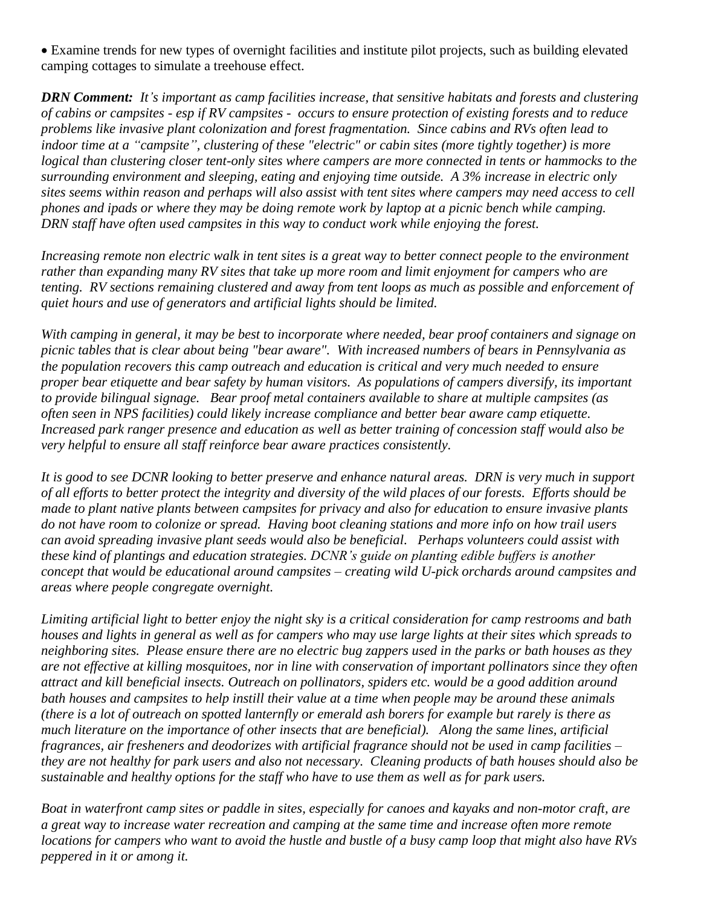Examine trends for new types of overnight facilities and institute pilot projects, such as building elevated camping cottages to simulate a treehouse effect.

*DRN Comment: It's important as camp facilities increase, that sensitive habitats and forests and clustering of cabins or campsites - esp if RV campsites - occurs to ensure protection of existing forests and to reduce problems like invasive plant colonization and forest fragmentation. Since cabins and RVs often lead to indoor time at a "campsite", clustering of these "electric" or cabin sites (more tightly together) is more logical than clustering closer tent-only sites where campers are more connected in tents or hammocks to the surrounding environment and sleeping, eating and enjoying time outside. A 3% increase in electric only sites seems within reason and perhaps will also assist with tent sites where campers may need access to cell phones and ipads or where they may be doing remote work by laptop at a picnic bench while camping. DRN staff have often used campsites in this way to conduct work while enjoying the forest.* 

*Increasing remote non electric walk in tent sites is a great way to better connect people to the environment rather than expanding many RV sites that take up more room and limit enjoyment for campers who are tenting. RV sections remaining clustered and away from tent loops as much as possible and enforcement of quiet hours and use of generators and artificial lights should be limited.* 

*With camping in general, it may be best to incorporate where needed, bear proof containers and signage on picnic tables that is clear about being "bear aware". With increased numbers of bears in Pennsylvania as the population recovers this camp outreach and education is critical and very much needed to ensure proper bear etiquette and bear safety by human visitors. As populations of campers diversify, its important to provide bilingual signage. Bear proof metal containers available to share at multiple campsites (as often seen in NPS facilities) could likely increase compliance and better bear aware camp etiquette. Increased park ranger presence and education as well as better training of concession staff would also be very helpful to ensure all staff reinforce bear aware practices consistently.* 

*It is good to see DCNR looking to better preserve and enhance natural areas. DRN is very much in support of all efforts to better protect the integrity and diversity of the wild places of our forests. Efforts should be made to plant native plants between campsites for privacy and also for education to ensure invasive plants do not have room to colonize or spread. Having boot cleaning stations and more info on how trail users can avoid spreading invasive plant seeds would also be beneficial. Perhaps volunteers could assist with these kind of plantings and education strategies. DCNR's guide on planting edible buffers is another concept that would be educational around campsites – creating wild U-pick orchards around campsites and areas where people congregate overnight.* 

*Limiting artificial light to better enjoy the night sky is a critical consideration for camp restrooms and bath houses and lights in general as well as for campers who may use large lights at their sites which spreads to neighboring sites. Please ensure there are no electric bug zappers used in the parks or bath houses as they are not effective at killing mosquitoes, nor in line with conservation of important pollinators since they often attract and kill beneficial insects. Outreach on pollinators, spiders etc. would be a good addition around bath houses and campsites to help instill their value at a time when people may be around these animals (there is a lot of outreach on spotted lanternfly or emerald ash borers for example but rarely is there as much literature on the importance of other insects that are beneficial). Along the same lines, artificial fragrances, air fresheners and deodorizes with artificial fragrance should not be used in camp facilities – they are not healthy for park users and also not necessary. Cleaning products of bath houses should also be sustainable and healthy options for the staff who have to use them as well as for park users.* 

*Boat in waterfront camp sites or paddle in sites, especially for canoes and kayaks and non-motor craft, are a great way to increase water recreation and camping at the same time and increase often more remote locations for campers who want to avoid the hustle and bustle of a busy camp loop that might also have RVs peppered in it or among it.*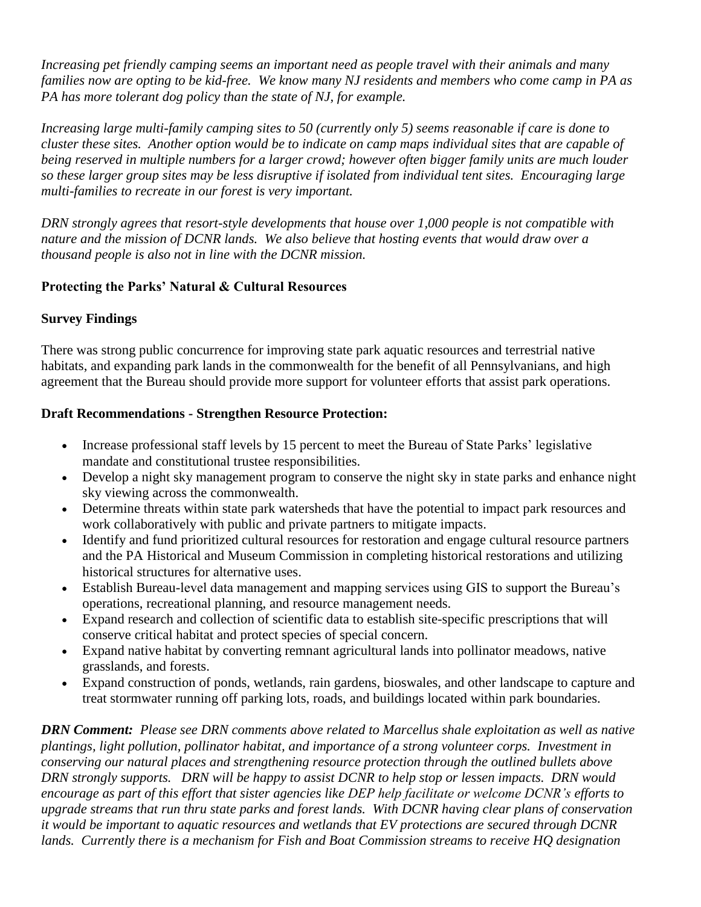*Increasing pet friendly camping seems an important need as people travel with their animals and many families now are opting to be kid-free. We know many NJ residents and members who come camp in PA as PA has more tolerant dog policy than the state of NJ, for example.* 

*Increasing large multi-family camping sites to 50 (currently only 5) seems reasonable if care is done to cluster these sites. Another option would be to indicate on camp maps individual sites that are capable of being reserved in multiple numbers for a larger crowd; however often bigger family units are much louder so these larger group sites may be less disruptive if isolated from individual tent sites. Encouraging large multi-families to recreate in our forest is very important.* 

*DRN strongly agrees that resort-style developments that house over 1,000 people is not compatible with nature and the mission of DCNR lands. We also believe that hosting events that would draw over a thousand people is also not in line with the DCNR mission.* 

## **Protecting the Parks' Natural & Cultural Resources**

## **Survey Findings**

There was strong public concurrence for improving state park aquatic resources and terrestrial native habitats, and expanding park lands in the commonwealth for the benefit of all Pennsylvanians, and high agreement that the Bureau should provide more support for volunteer efforts that assist park operations.

#### **Draft Recommendations - Strengthen Resource Protection:**

- Increase professional staff levels by 15 percent to meet the Bureau of State Parks' legislative mandate and constitutional trustee responsibilities.
- Develop a night sky management program to conserve the night sky in state parks and enhance night sky viewing across the commonwealth.
- Determine threats within state park watersheds that have the potential to impact park resources and work collaboratively with public and private partners to mitigate impacts.
- Identify and fund prioritized cultural resources for restoration and engage cultural resource partners and the PA Historical and Museum Commission in completing historical restorations and utilizing historical structures for alternative uses.
- Establish Bureau-level data management and mapping services using GIS to support the Bureau's operations, recreational planning, and resource management needs.
- Expand research and collection of scientific data to establish site-specific prescriptions that will conserve critical habitat and protect species of special concern.
- Expand native habitat by converting remnant agricultural lands into pollinator meadows, native grasslands, and forests.
- Expand construction of ponds, wetlands, rain gardens, bioswales, and other landscape to capture and treat stormwater running off parking lots, roads, and buildings located within park boundaries.

*DRN Comment: Please see DRN comments above related to Marcellus shale exploitation as well as native plantings, light pollution, pollinator habitat, and importance of a strong volunteer corps. Investment in conserving our natural places and strengthening resource protection through the outlined bullets above DRN strongly supports. DRN will be happy to assist DCNR to help stop or lessen impacts. DRN would encourage as part of this effort that sister agencies like DEP help facilitate or welcome DCNR's efforts to upgrade streams that run thru state parks and forest lands. With DCNR having clear plans of conservation it would be important to aquatic resources and wetlands that EV protections are secured through DCNR lands. Currently there is a mechanism for Fish and Boat Commission streams to receive HQ designation*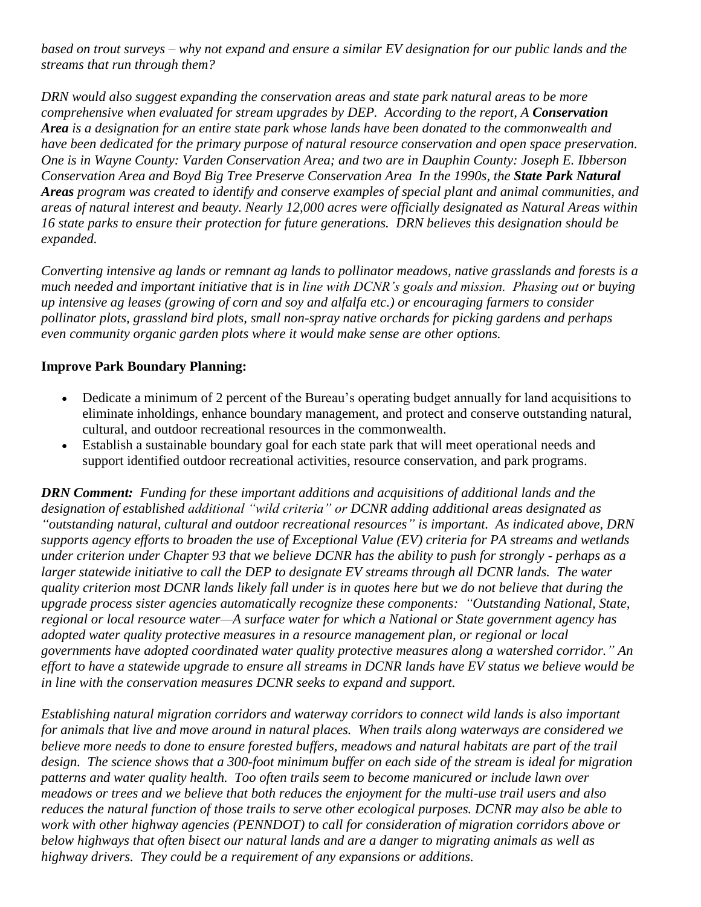*based on trout surveys – why not expand and ensure a similar EV designation for our public lands and the streams that run through them?* 

*DRN would also suggest expanding the conservation areas and state park natural areas to be more comprehensive when evaluated for stream upgrades by DEP. According to the report, A Conservation Area is a designation for an entire state park whose lands have been donated to the commonwealth and have been dedicated for the primary purpose of natural resource conservation and open space preservation. One is in Wayne County: Varden Conservation Area; and two are in Dauphin County: Joseph E. Ibberson Conservation Area and Boyd Big Tree Preserve Conservation Area In the 1990s, the State Park Natural Areas program was created to identify and conserve examples of special plant and animal communities, and areas of natural interest and beauty. Nearly 12,000 acres were officially designated as Natural Areas within 16 state parks to ensure their protection for future generations. DRN believes this designation should be expanded.* 

*Converting intensive ag lands or remnant ag lands to pollinator meadows, native grasslands and forests is a much needed and important initiative that is in line with DCNR's goals and mission. Phasing out or buying up intensive ag leases (growing of corn and soy and alfalfa etc.) or encouraging farmers to consider pollinator plots, grassland bird plots, small non-spray native orchards for picking gardens and perhaps even community organic garden plots where it would make sense are other options.* 

#### **Improve Park Boundary Planning:**

- Dedicate a minimum of 2 percent of the Bureau's operating budget annually for land acquisitions to eliminate inholdings, enhance boundary management, and protect and conserve outstanding natural, cultural, and outdoor recreational resources in the commonwealth.
- Establish a sustainable boundary goal for each state park that will meet operational needs and support identified outdoor recreational activities, resource conservation, and park programs.

*DRN Comment: Funding for these important additions and acquisitions of additional lands and the designation of established additional "wild criteria" or DCNR adding additional areas designated as "outstanding natural, cultural and outdoor recreational resources" is important. As indicated above, DRN supports agency efforts to broaden the use of Exceptional Value (EV) criteria for PA streams and wetlands under criterion under Chapter 93 that we believe DCNR has the ability to push for strongly - perhaps as a larger statewide initiative to call the DEP to designate EV streams through all DCNR lands. The water quality criterion most DCNR lands likely fall under is in quotes here but we do not believe that during the upgrade process sister agencies automatically recognize these components: "Outstanding National, State, regional or local resource water—A surface water for which a National or State government agency has adopted water quality protective measures in a resource management plan, or regional or local governments have adopted coordinated water quality protective measures along a watershed corridor." An effort to have a statewide upgrade to ensure all streams in DCNR lands have EV status we believe would be in line with the conservation measures DCNR seeks to expand and support.*

*Establishing natural migration corridors and waterway corridors to connect wild lands is also important for animals that live and move around in natural places. When trails along waterways are considered we believe more needs to done to ensure forested buffers, meadows and natural habitats are part of the trail design. The science shows that a 300-foot minimum buffer on each side of the stream is ideal for migration patterns and water quality health. Too often trails seem to become manicured or include lawn over meadows or trees and we believe that both reduces the enjoyment for the multi-use trail users and also reduces the natural function of those trails to serve other ecological purposes. DCNR may also be able to work with other highway agencies (PENNDOT) to call for consideration of migration corridors above or below highways that often bisect our natural lands and are a danger to migrating animals as well as highway drivers. They could be a requirement of any expansions or additions.*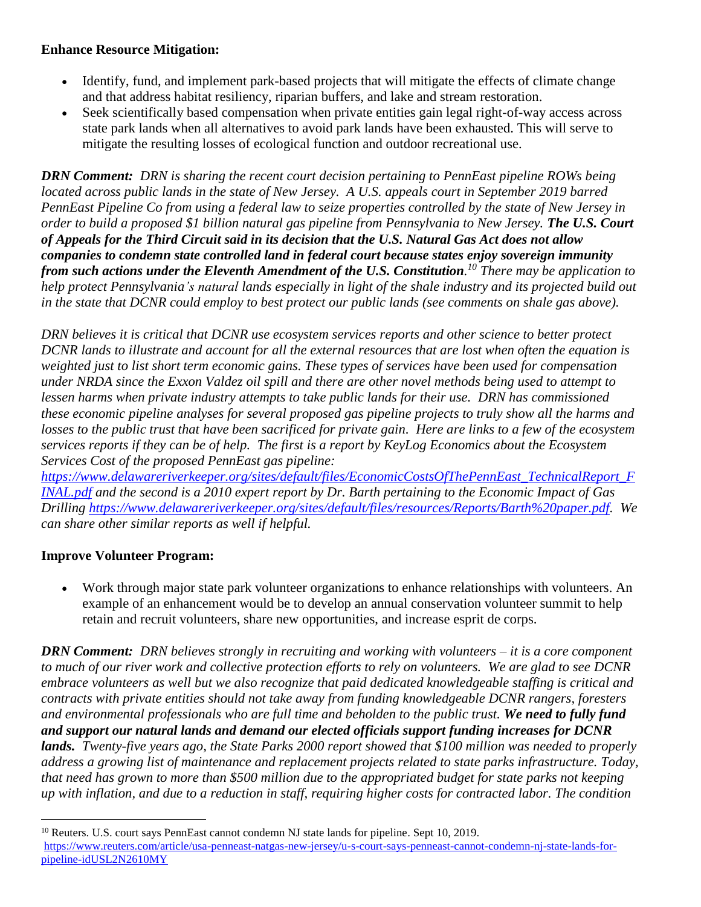### **Enhance Resource Mitigation:**

- Identify, fund, and implement park-based projects that will mitigate the effects of climate change and that address habitat resiliency, riparian buffers, and lake and stream restoration.
- Seek scientifically based compensation when private entities gain legal right-of-way access across state park lands when all alternatives to avoid park lands have been exhausted. This will serve to mitigate the resulting losses of ecological function and outdoor recreational use.

*DRN Comment: DRN is sharing the recent court decision pertaining to PennEast pipeline ROWs being located across public lands in the state of New Jersey. A U.S. appeals court in September 2019 barred PennEast Pipeline Co from using a federal law to seize properties controlled by the state of New Jersey in order to build a proposed \$1 billion natural gas pipeline from Pennsylvania to New Jersey. The U.S. Court of Appeals for the Third Circuit said in its decision that the U.S. Natural Gas Act does not allow companies to condemn state controlled land in federal court because states enjoy sovereign immunity from such actions under the Eleventh Amendment of the U.S. Constitution. <sup>10</sup> There may be application to help protect Pennsylvania's natural lands especially in light of the shale industry and its projected build out in the state that DCNR could employ to best protect our public lands (see comments on shale gas above).* 

*DRN believes it is critical that DCNR use ecosystem services reports and other science to better protect DCNR lands to illustrate and account for all the external resources that are lost when often the equation is weighted just to list short term economic gains. These types of services have been used for compensation under NRDA since the Exxon Valdez oil spill and there are other novel methods being used to attempt to lessen harms when private industry attempts to take public lands for their use. DRN has commissioned these economic pipeline analyses for several proposed gas pipeline projects to truly show all the harms and losses to the public trust that have been sacrificed for private gain. Here are links to a few of the ecosystem services reports if they can be of help. The first is a report by KeyLog Economics about the Ecosystem Services Cost of the proposed PennEast gas pipeline:* 

*[https://www.delawareriverkeeper.org/sites/default/files/EconomicCostsOfThePennEast\\_TechnicalReport\\_F](https://www.delawareriverkeeper.org/sites/default/files/EconomicCostsOfThePennEast_TechnicalReport_FINAL.pdf) [INAL.pdf](https://www.delawareriverkeeper.org/sites/default/files/EconomicCostsOfThePennEast_TechnicalReport_FINAL.pdf) and the second is a 2010 expert report by Dr. Barth pertaining to the Economic Impact of Gas Drilling [https://www.delawareriverkeeper.org/sites/default/files/resources/Reports/Barth%20paper.pdf.](https://www.delawareriverkeeper.org/sites/default/files/resources/Reports/Barth%20paper.pdf) We can share other similar reports as well if helpful.* 

#### **Improve Volunteer Program:**

 $\overline{a}$ 

 Work through major state park volunteer organizations to enhance relationships with volunteers. An example of an enhancement would be to develop an annual conservation volunteer summit to help retain and recruit volunteers, share new opportunities, and increase esprit de corps.

*DRN Comment: DRN believes strongly in recruiting and working with volunteers – it is a core component to much of our river work and collective protection efforts to rely on volunteers. We are glad to see DCNR embrace volunteers as well but we also recognize that paid dedicated knowledgeable staffing is critical and contracts with private entities should not take away from funding knowledgeable DCNR rangers, foresters and environmental professionals who are full time and beholden to the public trust. We need to fully fund and support our natural lands and demand our elected officials support funding increases for DCNR lands. Twenty-five years ago, the State Parks 2000 report showed that \$100 million was needed to properly address a growing list of maintenance and replacement projects related to state parks infrastructure. Today, that need has grown to more than \$500 million due to the appropriated budget for state parks not keeping up with inflation, and due to a reduction in staff, requiring higher costs for contracted labor. The condition* 

<sup>&</sup>lt;sup>10</sup> Reuters. U.S. court says PennEast cannot condemn NJ state lands for pipeline. Sept 10, 2019. [https://www.reuters.com/article/usa-penneast-natgas-new-jersey/u-s-court-says-penneast-cannot-condemn-nj-state-lands-for](https://www.reuters.com/article/usa-penneast-natgas-new-jersey/u-s-court-says-penneast-cannot-condemn-nj-state-lands-for-pipeline-idUSL2N2610MY)[pipeline-idUSL2N2610MY](https://www.reuters.com/article/usa-penneast-natgas-new-jersey/u-s-court-says-penneast-cannot-condemn-nj-state-lands-for-pipeline-idUSL2N2610MY)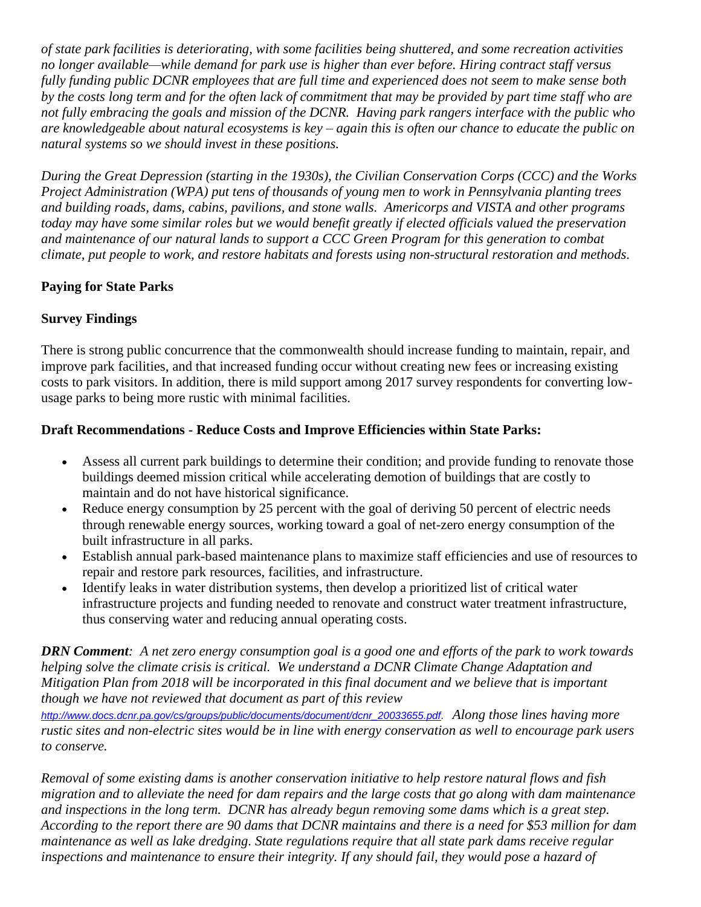*of state park facilities is deteriorating, with some facilities being shuttered, and some recreation activities no longer available—while demand for park use is higher than ever before. Hiring contract staff versus fully funding public DCNR employees that are full time and experienced does not seem to make sense both by the costs long term and for the often lack of commitment that may be provided by part time staff who are not fully embracing the goals and mission of the DCNR. Having park rangers interface with the public who are knowledgeable about natural ecosystems is key – again this is often our chance to educate the public on natural systems so we should invest in these positions.* 

*During the Great Depression (starting in the 1930s), the Civilian Conservation Corps (CCC) and the Works Project Administration (WPA) put tens of thousands of young men to work in Pennsylvania planting trees and building roads, dams, cabins, pavilions, and stone walls. Americorps and VISTA and other programs today may have some similar roles but we would benefit greatly if elected officials valued the preservation and maintenance of our natural lands to support a CCC Green Program for this generation to combat climate, put people to work, and restore habitats and forests using non-structural restoration and methods.* 

# **Paying for State Parks**

# **Survey Findings**

There is strong public concurrence that the commonwealth should increase funding to maintain, repair, and improve park facilities, and that increased funding occur without creating new fees or increasing existing costs to park visitors. In addition, there is mild support among 2017 survey respondents for converting lowusage parks to being more rustic with minimal facilities.

# **Draft Recommendations - Reduce Costs and Improve Efficiencies within State Parks:**

- Assess all current park buildings to determine their condition; and provide funding to renovate those buildings deemed mission critical while accelerating demotion of buildings that are costly to maintain and do not have historical significance.
- Reduce energy consumption by 25 percent with the goal of deriving 50 percent of electric needs through renewable energy sources, working toward a goal of net-zero energy consumption of the built infrastructure in all parks.
- Establish annual park-based maintenance plans to maximize staff efficiencies and use of resources to repair and restore park resources, facilities, and infrastructure.
- Identify leaks in water distribution systems, then develop a prioritized list of critical water infrastructure projects and funding needed to renovate and construct water treatment infrastructure, thus conserving water and reducing annual operating costs.

*DRN Comment: A net zero energy consumption goal is a good one and efforts of the park to work towards helping solve the climate crisis is critical. We understand a DCNR Climate Change Adaptation and Mitigation Plan from 2018 will be incorporated in this final document and we believe that is important though we have not reviewed that document as part of this review*

*[http://www.docs.dcnr.pa.gov/cs/groups/public/documents/document/dcnr\\_20033655.pdf.](http://www.docs.dcnr.pa.gov/cs/groups/public/documents/document/dcnr_20033655.pdf) Along those lines having more rustic sites and non-electric sites would be in line with energy conservation as well to encourage park users to conserve.* 

*Removal of some existing dams is another conservation initiative to help restore natural flows and fish migration and to alleviate the need for dam repairs and the large costs that go along with dam maintenance and inspections in the long term. DCNR has already begun removing some dams which is a great step. According to the report there are 90 dams that DCNR maintains and there is a need for \$53 million for dam maintenance as well as lake dredging. State regulations require that all state park dams receive regular inspections and maintenance to ensure their integrity. If any should fail, they would pose a hazard of*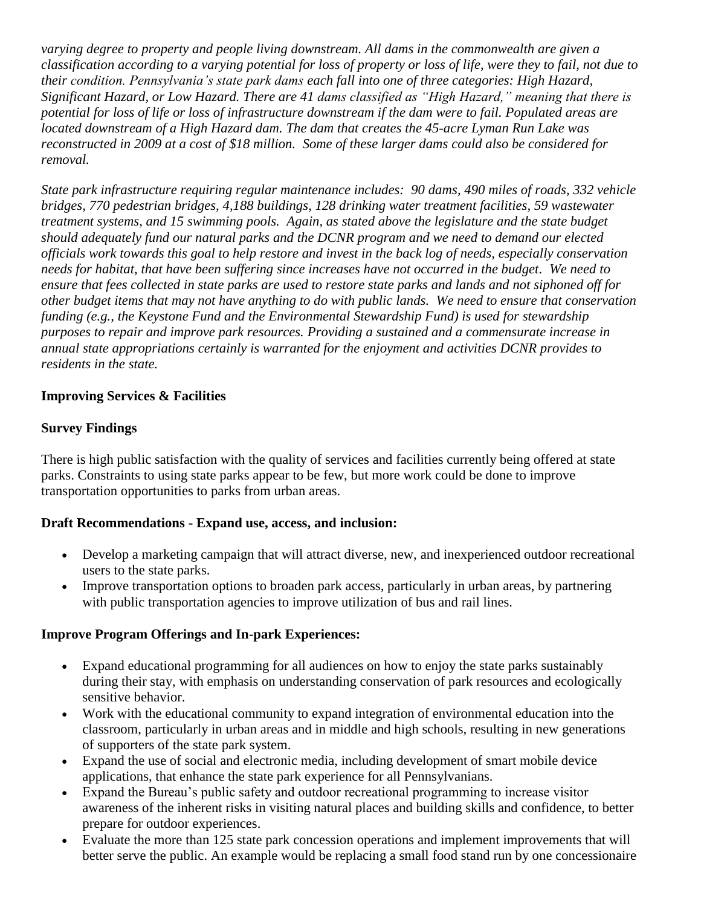*varying degree to property and people living downstream. All dams in the commonwealth are given a classification according to a varying potential for loss of property or loss of life, were they to fail, not due to their condition. Pennsylvania's state park dams each fall into one of three categories: High Hazard, Significant Hazard, or Low Hazard. There are 41 dams classified as "High Hazard," meaning that there is potential for loss of life or loss of infrastructure downstream if the dam were to fail. Populated areas are located downstream of a High Hazard dam. The dam that creates the 45-acre Lyman Run Lake was reconstructed in 2009 at a cost of \$18 million. Some of these larger dams could also be considered for removal.* 

*State park infrastructure requiring regular maintenance includes: 90 dams, 490 miles of roads, 332 vehicle bridges, 770 pedestrian bridges, 4,188 buildings, 128 drinking water treatment facilities, 59 wastewater treatment systems, and 15 swimming pools. Again, as stated above the legislature and the state budget should adequately fund our natural parks and the DCNR program and we need to demand our elected officials work towards this goal to help restore and invest in the back log of needs, especially conservation needs for habitat, that have been suffering since increases have not occurred in the budget. We need to ensure that fees collected in state parks are used to restore state parks and lands and not siphoned off for other budget items that may not have anything to do with public lands. We need to ensure that conservation funding (e.g., the Keystone Fund and the Environmental Stewardship Fund) is used for stewardship purposes to repair and improve park resources. Providing a sustained and a commensurate increase in annual state appropriations certainly is warranted for the enjoyment and activities DCNR provides to residents in the state.* 

## **Improving Services & Facilities**

#### **Survey Findings**

There is high public satisfaction with the quality of services and facilities currently being offered at state parks. Constraints to using state parks appear to be few, but more work could be done to improve transportation opportunities to parks from urban areas.

#### **Draft Recommendations - Expand use, access, and inclusion:**

- Develop a marketing campaign that will attract diverse, new, and inexperienced outdoor recreational users to the state parks.
- Improve transportation options to broaden park access, particularly in urban areas, by partnering with public transportation agencies to improve utilization of bus and rail lines.

#### **Improve Program Offerings and In-park Experiences:**

- Expand educational programming for all audiences on how to enjoy the state parks sustainably during their stay, with emphasis on understanding conservation of park resources and ecologically sensitive behavior.
- Work with the educational community to expand integration of environmental education into the classroom, particularly in urban areas and in middle and high schools, resulting in new generations of supporters of the state park system.
- Expand the use of social and electronic media, including development of smart mobile device applications, that enhance the state park experience for all Pennsylvanians.
- Expand the Bureau's public safety and outdoor recreational programming to increase visitor awareness of the inherent risks in visiting natural places and building skills and confidence, to better prepare for outdoor experiences.
- Evaluate the more than 125 state park concession operations and implement improvements that will better serve the public. An example would be replacing a small food stand run by one concessionaire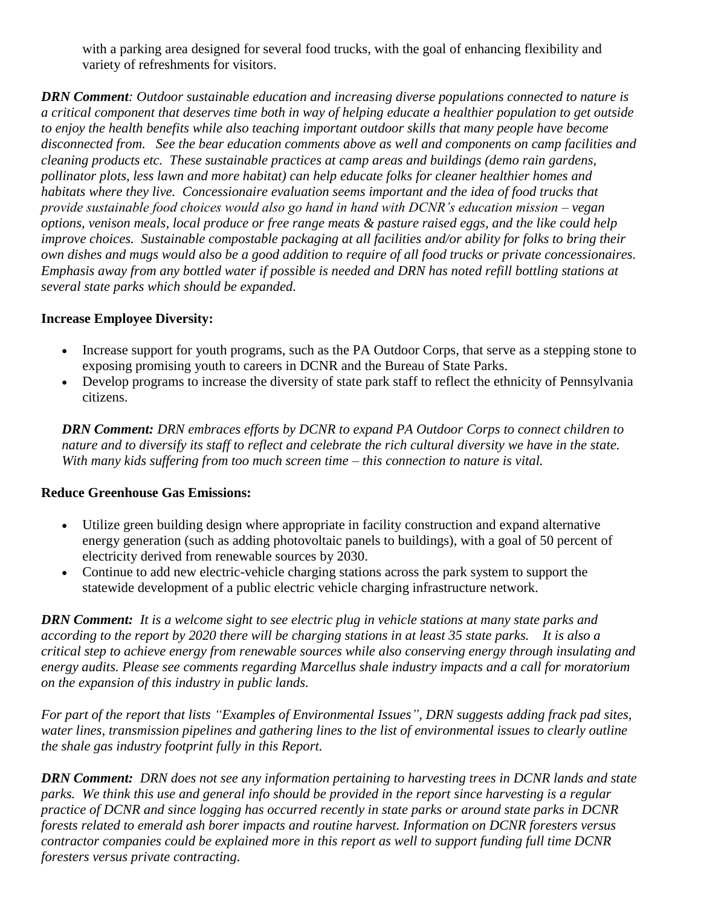with a parking area designed for several food trucks, with the goal of enhancing flexibility and variety of refreshments for visitors.

*DRN Comment: Outdoor sustainable education and increasing diverse populations connected to nature is a critical component that deserves time both in way of helping educate a healthier population to get outside to enjoy the health benefits while also teaching important outdoor skills that many people have become disconnected from. See the bear education comments above as well and components on camp facilities and cleaning products etc. These sustainable practices at camp areas and buildings (demo rain gardens, pollinator plots, less lawn and more habitat) can help educate folks for cleaner healthier homes and habitats where they live. Concessionaire evaluation seems important and the idea of food trucks that provide sustainable food choices would also go hand in hand with DCNR's education mission – vegan options, venison meals, local produce or free range meats & pasture raised eggs, and the like could help improve choices. Sustainable compostable packaging at all facilities and/or ability for folks to bring their own dishes and mugs would also be a good addition to require of all food trucks or private concessionaires. Emphasis away from any bottled water if possible is needed and DRN has noted refill bottling stations at several state parks which should be expanded.* 

## **Increase Employee Diversity:**

- Increase support for youth programs, such as the PA Outdoor Corps, that serve as a stepping stone to exposing promising youth to careers in DCNR and the Bureau of State Parks.
- Develop programs to increase the diversity of state park staff to reflect the ethnicity of Pennsylvania citizens.

*DRN Comment: DRN embraces efforts by DCNR to expand PA Outdoor Corps to connect children to nature and to diversify its staff to reflect and celebrate the rich cultural diversity we have in the state. With many kids suffering from too much screen time – this connection to nature is vital.* 

#### **Reduce Greenhouse Gas Emissions:**

- Utilize green building design where appropriate in facility construction and expand alternative energy generation (such as adding photovoltaic panels to buildings), with a goal of 50 percent of electricity derived from renewable sources by 2030.
- Continue to add new electric-vehicle charging stations across the park system to support the statewide development of a public electric vehicle charging infrastructure network.

*DRN Comment: It is a welcome sight to see electric plug in vehicle stations at many state parks and according to the report by 2020 there will be charging stations in at least 35 state parks. It is also a critical step to achieve energy from renewable sources while also conserving energy through insulating and energy audits. Please see comments regarding Marcellus shale industry impacts and a call for moratorium on the expansion of this industry in public lands.* 

*For part of the report that lists "Examples of Environmental Issues", DRN suggests adding frack pad sites, water lines, transmission pipelines and gathering lines to the list of environmental issues to clearly outline the shale gas industry footprint fully in this Report.* 

*DRN Comment: DRN does not see any information pertaining to harvesting trees in DCNR lands and state parks. We think this use and general info should be provided in the report since harvesting is a regular practice of DCNR and since logging has occurred recently in state parks or around state parks in DCNR forests related to emerald ash borer impacts and routine harvest. Information on DCNR foresters versus contractor companies could be explained more in this report as well to support funding full time DCNR foresters versus private contracting.*